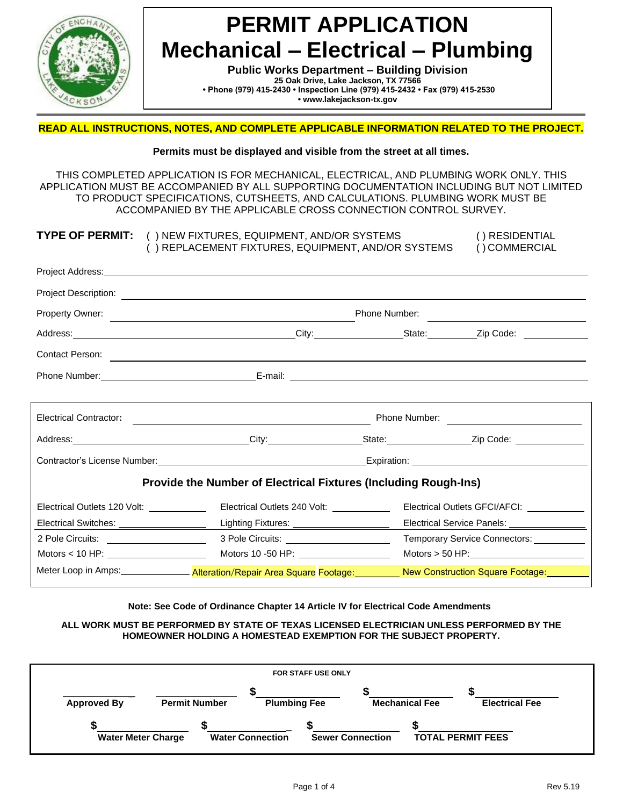

**Public Works Department – Building Division 25 Oak Drive, Lake Jackson, TX 77566 • Phone (979) 415-2430 • Inspection Line (979) 415-2432 • Fax (979) 415-2530 • [www.lakejackson-tx.gov](http://www.lakejackson-tx.gov/)**

#### **READ ALL INSTRUCTIONS, NOTES, AND COMPLETE APPLICABLE INFORMATION RELATED TO THE PROJECT.**

#### **Permits must be displayed and visible from the street at all times.**

THIS COMPLETED APPLICATION IS FOR MECHANICAL, ELECTRICAL, AND PLUMBING WORK ONLY. THIS APPLICATION MUST BE ACCOMPANIED BY ALL SUPPORTING DOCUMENTATION INCLUDING BUT NOT LIMITED TO PRODUCT SPECIFICATIONS, CUTSHEETS, AND CALCULATIONS. PLUMBING WORK MUST BE ACCOMPANIED BY THE APPLICABLE CROSS CONNECTION CONTROL SURVEY.

|                                          | <b>TYPE OF PERMIT:</b> () NEW FIXTURES, EQUIPMENT, AND/OR SYSTEMS<br>() REPLACEMENT FIXTURES, EQUIPMENT, AND/OR SYSTEMS                                                                                                             | () RESIDENTIAL<br>() COMMERCIAL             |
|------------------------------------------|-------------------------------------------------------------------------------------------------------------------------------------------------------------------------------------------------------------------------------------|---------------------------------------------|
|                                          |                                                                                                                                                                                                                                     |                                             |
|                                          |                                                                                                                                                                                                                                     |                                             |
|                                          |                                                                                                                                                                                                                                     | Phone Number:                               |
|                                          | Address: Zip Code: 2.1 City: City: City: City: State: Zip Code: 2.1 City: 2.1 Code: 2.1 City: 2.1 Code: 2.1 City: 2.1 Code: 2.1 City: 2.1 Code: 2.1 City: 2.1 Code: 2.1 City: 2.1 Code: 2.1 City: 2.1 Code: 2.1 City: 2.1 Code      |                                             |
|                                          | Contact Person: <u>contact Person:</u> contact Person: contact Person: contact Person: contact Person: contact Person: contact Person: contact Person: contact Person: contact Person: contact Person: contact Person: contact Pers |                                             |
|                                          |                                                                                                                                                                                                                                     |                                             |
|                                          | ,我们也不能会有什么。""我们的人,我们也不能会有什么?""我们的人,我们也不能会有什么?""我们的人,我们也不能会有什么?""我们的人,我们也不能会有什么?""                                                                                                                                                   |                                             |
|                                          |                                                                                                                                                                                                                                     |                                             |
|                                          | Address: 2008. 2010. 2010. City: City: 2008. 2010. 2010. 2010. 2010. 2010. 2010. 2010. 2010. 2010. 2010. 2010                                                                                                                       |                                             |
|                                          | Contractor's License Number: Maria Contractor's License Number: Maria Contractor's License Number: Maria Contractor's License Number:                                                                                               |                                             |
|                                          | <b>Provide the Number of Electrical Fixtures (Including Rough-Ins)</b>                                                                                                                                                              |                                             |
| Electrical Outlets 120 Volt: ___________ | Electrical Outlets 240 Volt: ____________                                                                                                                                                                                           | Electrical Outlets GFCI/AFCI: ___________   |
|                                          |                                                                                                                                                                                                                                     | Electrical Service Panels: ________________ |
| 2 Pole Circuits: _____________________   | 3 Pole Circuits: ________________________                                                                                                                                                                                           | Temporary Service Connectors: ___________   |
|                                          |                                                                                                                                                                                                                                     | Motors > 50 HP: $\qquad \qquad$             |
|                                          | Meter Loop in Amps:__________________Alteration/Repair Area Square Footage: New Construction Square Footage: New                                                                                                                    |                                             |

#### **Note: See Code of Ordinance Chapter 14 Article IV for Electrical Code Amendments**

#### **ALL WORK MUST BE PERFORMED BY STATE OF TEXAS LICENSED ELECTRICIAN UNLESS PERFORMED BY THE HOMEOWNER HOLDING A HOMESTEAD EXEMPTION FOR THE SUBJECT PROPERTY.**

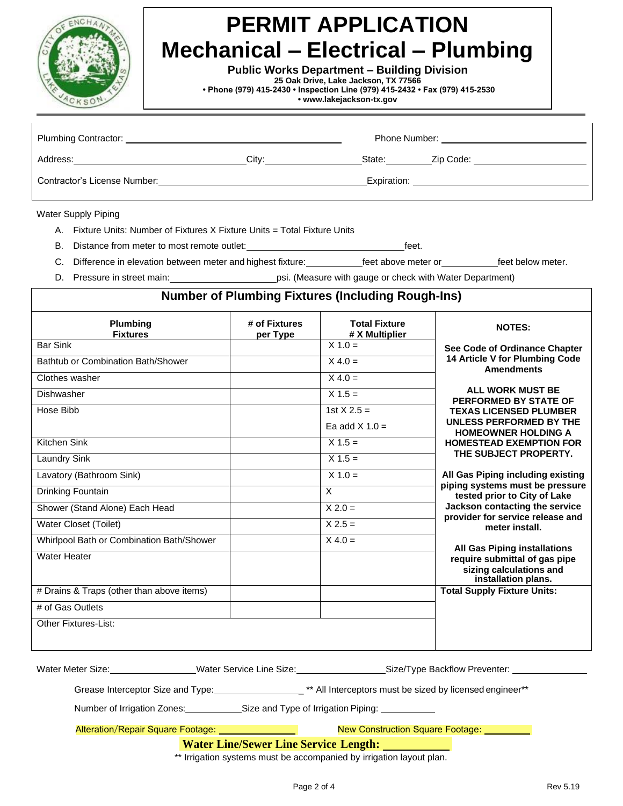

**Public Works Department – Building Division**

**25 Oak Drive, Lake Jackson, TX 77566**

**• Phone (979) 415-2430 • Inspection Line (979) 415-2432 • Fax (979) 415-2530**

**• [www.lakejackson-tx.gov](http://www.lakejackson-tx.gov/)**

| Plumbing Contractor:         |       | Phone Number: |           |  |
|------------------------------|-------|---------------|-----------|--|
| Address:                     | City: | State:        | Zip Code: |  |
| Contractor's License Number: |       | Expiration:   |           |  |

Water Supply Piping

- A. Fixture Units: Number of Fixtures X Fixture Units = Total Fixture Units
- B. Distance from meter to most remote outlet: feet.

C. Difference in elevation between meter and highest fixture: feet above meter or feet below meter.

D. Pressure in street main: psi. (Measure with gauge or check with Water Department)

| Plumbing<br><b>Fixtures</b>               | # of Fixtures<br>per Type | <b>Total Fixture</b><br># X Multiplier | <b>NOTES:</b>                                                                   |
|-------------------------------------------|---------------------------|----------------------------------------|---------------------------------------------------------------------------------|
| <b>Bar Sink</b>                           |                           | $X 1.0 =$                              | See Code of Ordinance Chapter                                                   |
| Bathtub or Combination Bath/Shower        |                           | $X 4.0 =$                              | 14 Article V for Plumbing Code<br><b>Amendments</b>                             |
| Clothes washer                            |                           | $X 4.0 =$                              |                                                                                 |
| Dishwasher                                |                           | $X 1.5 =$                              | <b>ALL WORK MUST BE</b><br>PERFORMED BY STATE OF                                |
| Hose Bibb                                 |                           | 1st $X 2.5 =$                          | <b>TEXAS LICENSED PLUMBER</b>                                                   |
|                                           |                           | Ea add $X$ 1.0 =                       | UNLESS PERFORMED BY THE<br><b>HOMEOWNER HOLDING A</b>                           |
| Kitchen Sink                              |                           | $X 1.5 =$                              | <b>HOMESTEAD EXEMPTION FOR</b>                                                  |
| <b>Laundry Sink</b>                       |                           | $X 1.5 =$                              | THE SUBJECT PROPERTY.                                                           |
| Lavatory (Bathroom Sink)                  |                           | $X 1.0 =$                              | All Gas Piping including existing                                               |
| Drinking Fountain                         |                           | X                                      | piping systems must be pressure<br>tested prior to City of Lake                 |
| Shower (Stand Alone) Each Head            |                           | $X 2.0 =$                              | Jackson contacting the service<br>provider for service release and              |
| <b>Water Closet (Toilet)</b>              |                           | $X 2.5 =$                              | meter install.                                                                  |
| Whirlpool Bath or Combination Bath/Shower |                           | $X 4.0 =$                              | <b>All Gas Piping installations</b>                                             |
| <b>Water Heater</b>                       |                           |                                        | require submittal of gas pipe<br>sizing calculations and<br>installation plans. |
| # Drains & Traps (other than above items) |                           |                                        | <b>Total Supply Fixture Units:</b>                                              |
| # of Gas Outlets                          |                           |                                        |                                                                                 |
| Other Fixtures-List:                      |                           |                                        |                                                                                 |

| Water Meter Size:                        | Water Service Line Size: | Size/Type Backflow Preventer:                            |
|------------------------------------------|--------------------------|----------------------------------------------------------|
| Grease Interceptor Size and Type:        |                          | ** All Interceptors must be sized by licensed engineer** |
| Number of Irrigation Zones:              |                          | Size and Type of Irrigation Piping:                      |
| <b>Alteration/Repair Square Footage:</b> |                          | <b>New Construction Square Footage:</b>                  |

### **Water Line/Sewer Line Service Length:**

\*\* Irrigation systems must be accompanied by irrigation layout plan.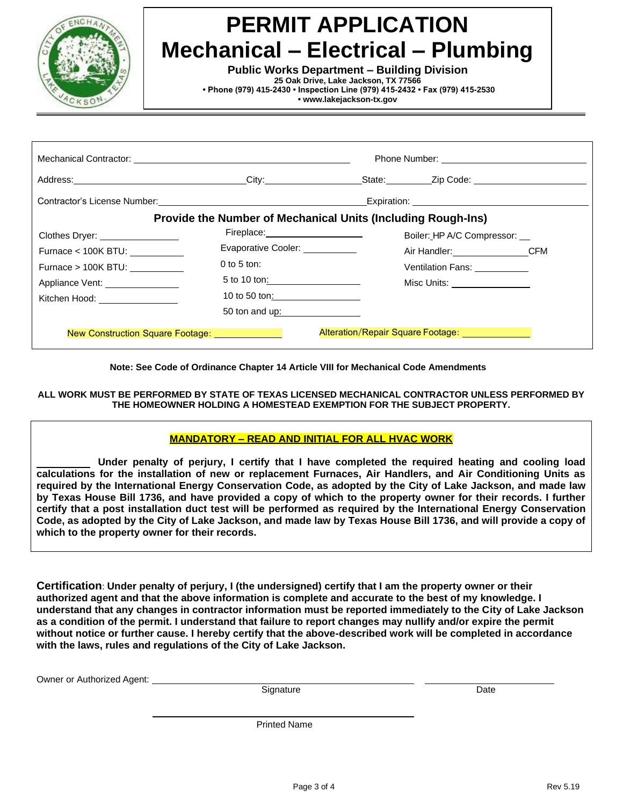

**Public Works Department – Building Division**

**25 Oak Drive, Lake Jackson, TX 77566**

**• Phone (979) 415-2430 • Inspection Line (979) 415-2432 • Fax (979) 415-2530**

**• [www.lakejackson-tx.gov](http://www.lakejackson-tx.gov/)**

| Address: City: City:                                                                                                                                                                                                           |                                                                     |                                  | State: Zip Code: 2001                                                                                                                                                                                                         |  |
|--------------------------------------------------------------------------------------------------------------------------------------------------------------------------------------------------------------------------------|---------------------------------------------------------------------|----------------------------------|-------------------------------------------------------------------------------------------------------------------------------------------------------------------------------------------------------------------------------|--|
| Contractor's License Number: \\owerd{\\state\} \\state\} \\state\} \\state\} \\state\} \\state\} \\state\} \\state\} \\state\} \\state\} \\state\} \\state\} \\state\} \\state\} \\state\} \\state\} \\state\} \\state\} \\sta |                                                                     |                                  | Expiration: Network and Contract the Contract of the Contract of the Contract of the Contract of the Contract of the Contract of the Contract of the Contract of the Contract of the Contract of the Contract of the Contract |  |
|                                                                                                                                                                                                                                | <b>Provide the Number of Mechanical Units (Including Rough-Ins)</b> |                                  |                                                                                                                                                                                                                               |  |
| Clothes Dryer: _________________                                                                                                                                                                                               | Fireplace: <u>______________________________</u>                    |                                  | Boiler: HP A/C Compressor: __                                                                                                                                                                                                 |  |
|                                                                                                                                                                                                                                | Evaporative Cooler: ___________                                     |                                  | Air Handler: CFM                                                                                                                                                                                                              |  |
| Furnace $> 100K$ BTU:                                                                                                                                                                                                          | $0$ to 5 ton:                                                       |                                  | Ventilation Fans: __________                                                                                                                                                                                                  |  |
| Appliance Vent: _______________                                                                                                                                                                                                |                                                                     |                                  | Misc Units: _________________                                                                                                                                                                                                 |  |
| Kitchen Hood: ________________                                                                                                                                                                                                 | 10 to 50 ton: __________________                                    |                                  |                                                                                                                                                                                                                               |  |
|                                                                                                                                                                                                                                |                                                                     | 50 ton and up: _________________ |                                                                                                                                                                                                                               |  |

**Note: See Code of Ordinance Chapter 14 Article VIII for Mechanical Code Amendments**

**ALL WORK MUST BE PERFORMED BY STATE OF TEXAS LICENSED MECHANICAL CONTRACTOR UNLESS PERFORMED BY THE HOMEOWNER HOLDING A HOMESTEAD EXEMPTION FOR THE SUBJECT PROPERTY.**

#### **MANDATORY – READ AND INITIAL FOR ALL HVAC WORK**

 **Under penalty of perjury, I certify that I have completed the required heating and cooling load calculations for the installation of new or replacement Furnaces, Air Handlers, and Air Conditioning Units as required by the International Energy Conservation Code, as adopted by the City of Lake Jackson, and made law by Texas House Bill 1736, and have provided a copy of which to the property owner for their records. I further certify that a post installation duct test will be performed as required by the International Energy Conservation Code, as adopted by the City of Lake Jackson, and made law by Texas House Bill 1736, and will provide a copy of which to the property owner for their records.**

**Certification**: **Under penalty of perjury, I (the undersigned) certify that I am the property owner or their authorized agent and that the above information is complete and accurate to the best of my knowledge. I understand that any changes in contractor information must be reported immediately to the City of Lake Jackson as a condition of the permit. I understand that failure to report changes may nullify and/or expire the permit without notice or further cause. I hereby certify that the above-described work will be completed in accordance with the laws, rules and regulations of the City of Lake Jackson.**

Owner or Authorized Agent:

Signature Date

Printed Name